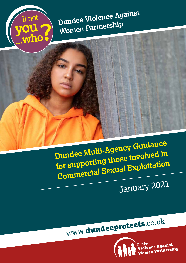# **Dundee Violence Against Women Partnership**

If not

...**who**

**you?**

**Dundee Multi-Agency Guidance for supporting those involved in Commercial Sexual Exploitation**

January 2021





Violence Against **Dundee**Violence --3<br>Women Partnership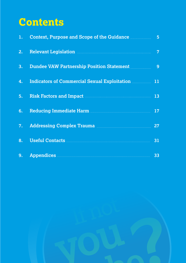# **Contents**

|                          | 1. Context, Purpose and Scope of the Guidance <b><i>manument</i></b> 1                                                  | 5 <sup>5</sup> |
|--------------------------|-------------------------------------------------------------------------------------------------------------------------|----------------|
| $\overline{\mathbf{2.}}$ | Relevant Legislation <b>Executive Service Service Service Service Service Service Service Service Service Service S</b> | $\overline{7}$ |
| 3.                       | <b>Dundee VAW Partnership Position Statement manufacturers</b>                                                          | 9              |
| 4.                       | Indicators of Commercial Sexual Exploitation <b>EXIC EXIC EXIC EXIC EXIC EXIC EXIC EXC</b> II                           |                |
|                          | 5. Risk Factors and Impact <b>Executive Strategier 13</b>                                                               |                |
|                          |                                                                                                                         | 17             |
|                          | 7. Addressing Complex Trauma <b>Manual Accord Addressing Complex Trauma</b>                                             | 27             |
|                          |                                                                                                                         | 31             |
|                          | 9. Appendices <b>Manual According to the Street According Contract According to According 33</b>                        |                |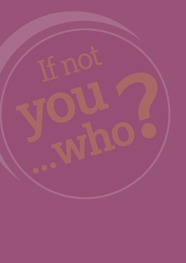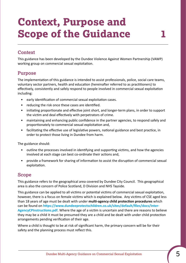# **Context, Purpose and Scope of the Guidance**

# **Context**

This guidance has been developed by the Dundee Violence Against Women Partnership (VAWP) working group on commercial sexual exploitation.

## **Purpose**

The implementation of this guidance is intended to assist professionals, police, social care teams, voluntary sector partners, health and education (hereinafter referred to as practitioners) to effectively, consistently and safely respond to people involved in commercial sexual exploitation including:

- early identification of commercial sexual exploitation cases.
- reducing the risk once these cases are identified.
- initiating proportionate and effective joint short, and longer-term plans, in order to support the victim and deal effectively with perpetrators of crime.
- maintaining and enhancing public confidence in the partner agencies, to respond safely and proportionately to commercial sexual exploitation and,
- facilitating the effective use of legislative powers, national guidance and best practice, in order to protect those living in Dundee from harm.

The guidance should:

- outline the processes involved in identifying and supporting victims, and how the agencies involved at each stage can best co-ordinate their actions and,
- provide a framework for sharing of information to assist the disruption of commercial sexual exploitation.

## **Scope**

This guidance refers to the geographical area covered by Dundee City Council. This geographical area is also the concern of Police Scotland, D Division and NHS Tayside.

This guidance can be applied to all victims or potential victims of commercial sexual exploitation, however, there is a focus on female victims which is explained below. Any victims of CSE aged less than 18 years of age must be dealt with under **multi-agency child protection procedures** which can be found on **https://www.dundeeprotectschildren.co.uk/sites/default/files/docs/Inter-AgencyCPInstructions.pdf**. Where the age of a victim is uncertain and there are reasons to believe they may be a child it must be presumed they are a child and be dealt with under child protection arrangements pending verification of their age.

Where a child is thought to be at risk of significant harm, the primary concern will be for their safety and the planning process must reflect this.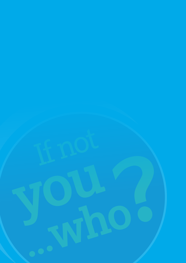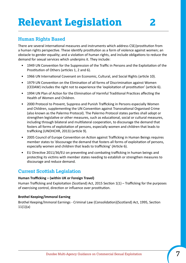# **Relevant Legislation 2**

# **Human Rights Based**

There are several international measures and instruments which address CSE/prostitution from a human rights perspective. These identify prostitution as a form of violence against women; an obstacle to gender equality; and a violation of human rights, and include obligations to reduce the demand for sexual services which underpins it. They include:

- 1949 UN Convention for the Suppression of the Traffic in Persons and the Exploitation of the Prostitution of Others (articles 1, 2 and 6).
- 1966 UN International Covenant on Economic, Cultural, and Social Rights (article 10).
- 1979 UN Convention on the Elimination of all forms of Discrimination against Women (CEDAW) includes the right not to experience the 'exploitation of prostitution' (article 6).
- 1994 UN Plan of Action for the Elimination of Harmful Traditional Practices affecting the Health of Women and Children.
- 2000 Protocol to Prevent, Suppress and Punish Trafficking in Persons especially Women and Children, supplementing the UN Convention against Transnational Organised Crime (also known as the Palermo Protocol). The Palermo Protocol states parties shall adopt or strengthen legislative or other measures, such as educational, social or cultural measures, including through bilateral and multilateral cooperation, to discourage the demand that fosters all forms of exploitation of persons, especially women and children that leads to trafficking (UNOHCHR, 2013) (article 9).
- 2005 Council of Europe Convention on Action against Trafficking in Human Beings requires member states to 'discourage the demand that fosters all forms of exploitation of persons, especially women and children that leads to trafficking' (Article 6).
- EU Directive 2011/36/EU on preventing and combating trafficking in human beings and protecting its victims with member states needing to establish or strengthen measures to discourage and reduce demand.

# **Current Scottish Legislation**

#### **Human Trafficking – (within UK or Foreign Travel)**

Human Trafficking and Exploitation (Scotland) Act, 2015 Section 1(1) – Trafficking for the purposes of exercising control, direction or influence over prostitution.

#### **Brothel Keeping/Immoral Earning**

Brothel Keeping/Immoral Earnings - Criminal Law (Consolidation)(Scotland) Act, 1995, Section  $11(1)(a)$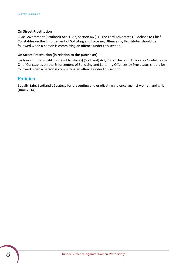#### **On Street Prostitution**

Civic Government (Scotland) Act, 1982, Section 46 (1). The Lord Advocates Guidelines to Chief Constables on the Enforcement of Soliciting and Loitering Offences by Prostitutes should be followed when a person is committing an offence under this section.

#### **On Street Prostitution (in relation to the purchaser)**

Section 2 of the Prostitution (Public Places) (Scotland) Act, 2007. The Lord Advocates Guidelines to Chief Constables on the Enforcement of Soliciting and Loitering Offences by Prostitutes should be followed when a person is committing an offence under this section.

### **Policies**

Equally Safe: Scotland's Strategy for preventing and eradicating violence against women and girls (June 2014)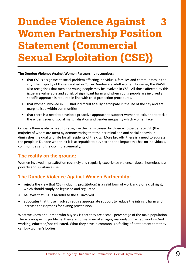# **Dundee Violence Against 3 Women Partnership Position Statement (Commercial Sexual Exploitation (CSE))**

#### **The Dundee Violence Against Women Partnership recognises:**

- that CSE is a significant social problem affecting individuals, families and communities in the city. The majority of those involved in CSE in Dundee are adult women, however, the VAWP also recognises that men and young people may be involved in CSE. All those affected by this issue are vulnerable and at risk of significant harm and when young people are involved a specific approach is required in line with child protection procedures.
- that women involved in CSE find it difficult to fully participate in the life of the city and are marginalised within communities.
- that there is a need to develop a proactive approach to support women to exit, and to tackle the wider issues of social marginalisation and gender inequality which women face.

Crucially there is also a need to recognise the harm caused by those who perpetrate CSE (the majority of whom are men) by demonstrating that their criminal and anti-social behaviour diminishes the quality of life for all residents of the city. More broadly, there is a need to address the people in Dundee who think it is acceptable to buy sex and the impact this has on individuals, communities and the city more generally.

## **The reality on the ground:**

Women involved in prostitution routinely and regularly experience violence, abuse, homelessness, poverty and substance use.

# **The Dundee Violence Against Women Partnership:**

- **• rejects** the view that CSE (including prostitution) is a valid form of work and / or a civil right, which should simply be legalised and regulated.
- **• believes** that CSE is harmful to the all involved.
- **• advocates** that those involved require appropriate support to reduce the intrinsic harm and increase their options for exiting prostitution.

What we know about men who buy sex is that they are a small percentage of the male population. There is no specific profile i.e. they are normal men of all ages, married/unmarried, working/not working, educated/not educated. What they have in common is a feeling of entitlement that they can buy women's bodies.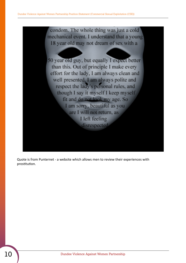

Quote is from Punternet - a website which allows men to review their experiences with prostitution.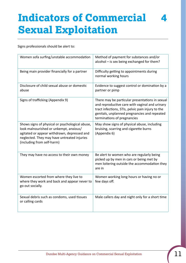# **Indicators of Commercial 4 Sexual Exploitation**

Signs professionals should be alert to:

| Women sofa surfing/unstable accommodation                                                                                                                                                                             | Method of payment for substances and/or<br>alcohol – is sex being exchanged for them?                                                                                                                                                 |
|-----------------------------------------------------------------------------------------------------------------------------------------------------------------------------------------------------------------------|---------------------------------------------------------------------------------------------------------------------------------------------------------------------------------------------------------------------------------------|
| Being main provider financially for a partner                                                                                                                                                                         | Difficulty getting to appointments during<br>normal working hours                                                                                                                                                                     |
| Disclosure of child sexual abuse or domestic<br>abuse                                                                                                                                                                 | Evidence to suggest control or domination by a<br>partner or pimp                                                                                                                                                                     |
| Signs of trafficking (Appendix 9)                                                                                                                                                                                     | There may be particular presentations in sexual<br>and reproductive care with vaginal and urinary<br>tract infections, STIs, pelvic pain injury to the<br>genitals, unplanned pregnancies and repeated<br>terminations of pregnancies |
| Shows signs of physical or psychological abuse,<br>look malnourished or unkempt, anxious/<br>agitated or appear withdrawn, depressed and<br>neglected. They may have untreated injuries<br>(including from self-harm) | May show signs of physical abuse, including<br>bruising, scarring and cigarette burns<br>(Appendix 6)                                                                                                                                 |
| They may have no access to their own money                                                                                                                                                                            | Be alert to women who are regularly being<br>picked up by men in cars or being met by<br>men loitering outside the accommodation they<br>are in                                                                                       |
| Women escorted from where they live to<br>where they work and back and appear never to<br>go out socially.                                                                                                            | Women working long hours or having no or<br>few days off.                                                                                                                                                                             |
| Sexual debris such as condoms, used tissues<br>or calling cards                                                                                                                                                       | Male callers day and night only for a short time                                                                                                                                                                                      |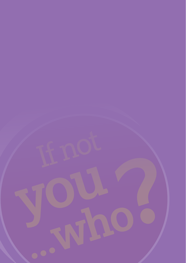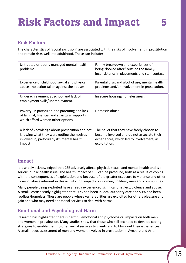## **Risk Factors**

The characteristics of "social exclusion" are associated with the risks of involvement in prostitution and remain risks well into adulthood. These can include:

| Untreated or poorly managed mental health<br>problems                                                                                                  | Family breakdown and experiences of<br>being "looked after" outside the family-<br>inconsistency in placements and staff contact                       |
|--------------------------------------------------------------------------------------------------------------------------------------------------------|--------------------------------------------------------------------------------------------------------------------------------------------------------|
| Experience of childhood sexual and physical<br>abuse - no action taken against the abuser                                                              | Parental drug and alcohol use, mental health<br>problems and/or involvement in prostitution.                                                           |
| Underachievement at school and lack of<br>employment skills/unemployment.                                                                              | Insecure housing/homelessness.                                                                                                                         |
| Poverty- in particular lone parenting and lack<br>of familial, financial and structural supports<br>which afford women other options                   | Domestic abuse                                                                                                                                         |
| A lack of knowledge about prostitution and not<br>knowing what they were getting themselves<br>involved in, particularly it's mental health<br>impact. | The belief that they have freely chosen to<br>become involved and do not associate their<br>experiences, which led to involvement, as<br>exploitation. |

# **Impact**

It is widely acknowledged that CSE adversely affects physical, sexual and mental health and is a serious public health issue. The health impact of CSE can be profound, both as a result of coping with the consequences of exploitation and because of the greater exposure to violence and other forms of abuse inherent in this activity. CSE impacts on women, children, men and communities. Impact<br>
It is widely acknowledged that CSE adversely affects physical, sexual and mental health and is a<br>
serious public health issue. The health impact of CSE can be profound, both as a result of copin<br>
with the consequen

Many people being exploited have already experienced significant neglect, violence and abuse. A small Scottish study highlighted that 50% had been in local authority care and 93% had been roofless/homeless. These are people whose vulnerabilities are exploited for others pleasure and gain and who may need additional services to deal with harms.

# **Emotional and Psychological Harm**

Research has highlighted there is harmful emotional and psychological impacts on both men and women in prostitution. Many studies show that those who sell sex need to develop coping A small needs assessment of men and women involved in prostitution in Ayrshire and Arran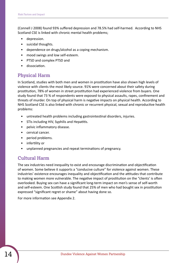(Connell J 2008) found 93% suffered depression and 78.5% had self-harmed. According to NHS Scotland CSE is linked with chronic mental health problems;

- depression.
- suicidal thoughts.
- dependence on drugs/alcohol as a coping mechanism.
- mood swings and low self-esteem.
- PTSD and complex PTSD and
- dissociation.

# **Physical Harm**

In Scotland, studies with both men and women in prostitution have also shown high levels of violence with clients the most likely source. 91% were concerned about their safety during prostitution, 78% of women in street prostitution had experienced violence from buyers. One study found that 73 % of respondents were exposed to physical assaults, rapes, confinement and threats of murder. On top of physical harm is negative impacts on physical health. According to NHS Scotland CSE is also linked with chronic or recurrent physical, sexual and reproductive health problems:

- untreated health problems including gastrointestinal disorders, injuries.
- STIs including HIV, Syphilis and Hepatitis.
- pelvic inflammatory disease.
- cervical cancer.
- period problems.
- infertility or
- unplanned pregnancies and repeat terminations of pregnancy.

# **Cultural Harm**

The sex industries need inequality to exist and encourage discrimination and objectification of women. Some believe it supports a "conducive culture" for violence against women. These industries' existence encourages inequality and objectification and the attitudes that contribute to making women more vulnerable. The negative impact of prostitution on the "clients' is often overlooked. Buying sex can have a significant long-term impact on men's sense of self-worth and self-esteem. One Scottish study found that 25% of men who had bought sex in prostitution expressed "significant regret or shame" about having done so.

For more information see Appendix 2.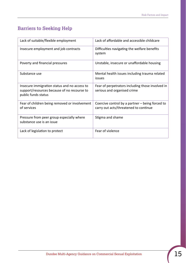# **Barriers to Seeking Help**

| Lack of suitable/flexible employment                                                                               | Lack of affordable and accessible childcare                                              |
|--------------------------------------------------------------------------------------------------------------------|------------------------------------------------------------------------------------------|
| Insecure employment and job contracts                                                                              | Difficulties navigating the welfare benefits<br>system                                   |
| Poverty and financial pressures                                                                                    | Unstable, insecure or unaffordable housing                                               |
| Substance use                                                                                                      | Mental health issues including trauma related<br>issues                                  |
| Insecure immigration status and no access to<br>support/resources because of no recourse to<br>public funds status | Fear of perpetrators including those involved in<br>serious and organised crime          |
| Fear of children being removed or involvement<br>of services                                                       | Coercive control by a partner – being forced to<br>carry out acts/threatened to continue |
| Pressure from peer group especially where<br>substance use is an issue                                             | Stigma and shame                                                                         |
| Lack of legislation to protect                                                                                     | Fear of violence                                                                         |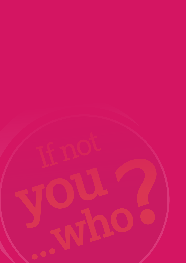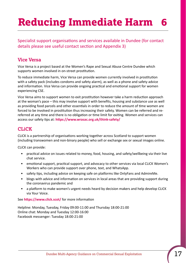# **Reducing Immediate Harm 6**

Specialist support organisations and services available in Dundee (for contact details please see useful contact section and Appendix 3)

## **Vice Versa**

Vice Versa is a project based at the Women's Rape and Sexual Abuse Centre Dundee which supports women involved in on-street prostitution.

To reduce immediate harm, Vice Versa can provide women currently involved in prostitution with a safety pack (includes condoms and safety alarm), as well as a phone and safety advice and information. Vice Versa can provide ongoing practical and emotional support for women experiencing CSE.

Vice Versa aims to support women to exit prostitution however take a harm reduction approach at the woman's pace – this may involve support with benefits, housing and substance use as well as providing food parcels and other essentials in order to reduce the amount of time women are forced to be involved in prostitution thus increasing their safety. Women can be referred and rereferred at any time and there is no obligation or time limit for exiting. Women and services can access our safety tips at: **https://www.wrasac.org.uk/think-safety/**

# **CLiCK**

CLiCK is a partnership of organisations working together across Scotland to support women (including transwomen and non-binary people) who sell or exchange sex or sexual images online.

CLiCK can provide:

- practical advice on issues related to money, food, housing, and safety/wellbeing via their live chat service.
- emotional support, practical support, and advocacy to other services via local CLICK Women's Workers who can provide support over phone, text, and WhatsApp.
- safety tips, including advice on keeping safe on platforms like OnlyFans and AdmireMe.
- blogs with advice and information on services in local areas that are providing support during the coronavirus pandemic and
- a platform to make women's urgent needs heard by decision makers and help develop CLiCK via Your Voice.

See **https://www.click.scot/** for more information

Helpline: Monday, Tuesday, Friday 09:00-11:00 and Thursday 18:00-21:00 **Example 20** encoded to more that service.<br> **•** emotional support, practical support, and Workers who can provide support over p<br> **•** safety tips, including advice on keeping s<br> **•** blogs with advice and information on ser Facebook messenger: Tuesday 18:00-21:00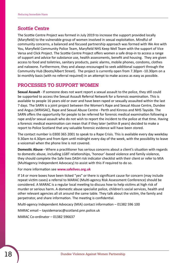## **Scottie Centre**

The Scottie Centre Project was formed in July 2019 to increase the support provided locally (Maryfield) to the vulnerable group of women involved in sexual exploitation. Mindful of community concerns, a balanced and focused partnership approach was formed with We Are with You, Maryfield Community Police Team, Maryfield NHS Keep Well Team with the support of Vice Versa and Click Project. The Scottie Centre Project offers women a safe drop-in to access a range of support and advice for substance use, health assessments, benefit and housing. They are given access to food and toiletries, sanitary products, panic alarms, mobile phones, condoms, clothes and naloxone. Furthermore, they and always encouraged to seek additional support through the Community Hub (Boots/Albert Street). The project is currently open from 7.30pm -10.30pm on a bi-monthly basis (with no referral required) in an attempt to make access as easy as possible.

## **PROCESSES TO SUPPORT WOMEN**

**Sexual Assault** - If someone does not want report a sexual assault to the police, they still could be supported to access the Sexual Assault Referral Network for a forensic examination. This is available to people 16 years old or over and have been raped or sexually assaulted within the last 7 days. The SARN is a joint project between the Women's Rape and Sexual Abuse Centre, Dundee and Angus (WRASAC), Rape and Sexual Abuse Centre - Perth and Kinross and NHS Tayside. The SARN offers the opportunity for people to be referred for forensic medical examination following a rape and/or sexual assault who do not wish to report the incident to the police at that time. Having a forensic medical examination can mean that if they later (within 8 years) decided to make a report to Police Scotland that any valuable forensic evidence will have been stored.

The contact number is 0300 365 2001 to speak to a Rape Crisis. This is available every day weekday 9.30am to 4.30pm and from 6pm until midnight every day of the week, with the possibility to leave a voicemail when the phone line is not covered.

**Domestic Abuse -** Where a practitioner has serious concerns about a client's situation with regards to domestic abuse, including LGBT relationships, 'honour'-based violence and family violence, they should complete the Safe lives DASH risk indicator checklist with their client or refer to MIA (Multiagency Independent Advocacy) to assist with this if required to do so.

For more information see **www.safelives.org.uk**

If 14 or more boxes have been ticked "yes" or there is significant cause for concern (may include repeat victim cases) a referral to MARAC (Multi-agency Risk Assessment Conference) should be considered. A MARAC is a regular local meeting to discuss how to help victims at high risk of murder or serious harm. A domestic abuse specialist police, children's social services, health and other relevant agencies all sit around the same table. They talk about the victim, the family and perpetrator, and share information. The meeting is confidential.

Multi-agency Independent Advocacy (MIA) contact information – 01382 596 100

MARAC email – taysidemarac@scotland.pnn.police.uk

MARAC Co-ordinator – 01382 596637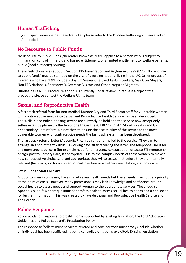# **Human Trafficking**

If you suspect someone has been trafficked please refer to the Dundee trafficking guidance linked in Appendix 1.

# **No Recourse to Public Funds**

No Recourse to Public Funds (thereafter known as NRPF) applies to a person who is subject to immigration control in the UK and has no entitlement, or a limited entitlement to, welfare benefits, public (local authority) housing.

These restrictions are set out in Section 115 Immigration and Asylum Act 1999 (IAA). 'No recourse to public funds' may be stamped on the visa of a foreign national living in the UK. Other groups of migrants who have NRPF include: - Asylum Seekers, Refused Asylum Seekers, Visa Over Stayers, Non EEA Nationals, Sponsoree's, Overseas Visitors and Other Irregular Migrants.

Dundee has a NRPF Procedure and this is currently under review. To request a copy of the procedure please contact the Welfare Rights team.

# **Sexual and Reproductive Health**

A fast-track referral form for non-medical Dundee City and Third Sector staff for vulnerable women with contraceptive needs into Sexual and Reproductive Health Service has been developed. The Walk-In and online booking service are currently on hold and the service now accept only self-referrals by phone via the telephone triage line (01382 42 55 42, Mon-Fri - 9-12) and GP or Secondary Care referrals. Since then to ensure the accessibility of the service to the most vulnerable women with contraceptive needs the fast track system has been developed.

The fast track referral letter (Appendix 7) can be sent or e-mailed to the service. They aim to arrange an appointment within 10 working days after receiving the letter. The telephone line is for any more urgent concern (for example need for emergency contraception or acute STI symptoms) or sign-post to Primary Care, if appropriate. Due to the complex needs of these women to make a new contraceptive choice safe and appropriate, they will assessed first before they are internally referred (fast-track) on for a implant or coil insertion or a further consultation, if appropriate.

Sexual Health Staff Checklist:

A lot of women in crisis may have unmet sexual health needs but these needs may not be a priority at the point of crisis. However, many professionals may lack knowledge and confidence around sexual health to assess needs and support women to the appropriate services. The checklist in Appendix 8 is a few short questions for professionals to assess sexual health needs and a crib sheet for further information. This was created by Tayside Sexual and Reproductive Health Service and The Corner.

# **Police Response**

Police Scotland's response to prostitution is supported by existing legislation, the Lord Advocate's Guidelines and Police Scotland's Prostitution Policy.

The response to 'sellers' must be victim centred and consideration must always include whether an individual has been trafficked, is being controlled or is being exploited. Existing legislation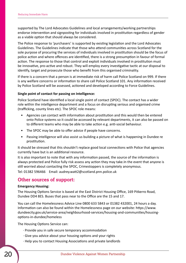supported by The Lord Advocates Guidelines and local arrangements/working partnerships endorse intervention and signposting for individuals involved in prostitution regardless of gender as a viable option that should always be considered.

The Police response to 'purchasers' is supported by existing legislation and the Lord Advocates Guidelines. The Guidelines indicate that those who attend communities across Scotland for the sole purpose of procuring the services of individuals involved in prostitution should be the focus of police action and where offences are identified, there is a strong presumption in favour of formal action. The response to those that control and exploit individuals involved in prostitution must be innovative, pro-active and robust. They will employ every investigative tactic at our disposal to identify, target and prosecute those who benefit from this organised criminality.

If there is a concern that a person is at immediate risk of harm call Police Scotland on 999. If there is any welfare concerns or information to share call Police Scotland 101. Any information received by Police Scotland will be assessed, actioned and developed according to Force Guidelines.

#### **Single point of contact for passing on Intelligence:**

Police Scotland have identified a local single point of contact (SPOC). The contact has a wider role within the intelligence department and a focus on disrupting serious and organised crime (trafficking, county lines etc). The SPOC role means:

- Agencies can contact with information about prostitution and this would then be entered onto Police systems so it could be accessed by relevant departments, it can also be passed on to different teams who may be able to take action e.g. anti-social behaviour.
- The SPOC may be able to offer advice if people have concerns.
- Passing intelligence will also assist us building a picture of what is happening in Dundee re prostitution.

It should be stressed that this shouldn't replace good local connections with Police that agencies currently have but is an additional resource.

It is also important to note that with any information passed, the source of the information is always protected and Police fully risk assess any action they may take.In the event that anyone is still worried about contacting the SPOC, Crimestoppers is completely anonymous.

Tel: 01382 596466 Email: audrey.watt2@scotland.pnn.police.uk

## **Other sources of support:**

#### **Emergency Housing:**

The Housing Options Service is based at the East District Housing Office, 169 Pitkerro Road, Dundee DD4 8ES. Buses that pass near to the Office are the 15 and 17.

You can call the Homelessness Advice Line 0800 633 5843 or 01382 432001, 24 hours a day. Information can also be found within the Homelessness page on our website: https://www. dundeecity.gov.uk/service-area/neighbourhood-services/housing-and-communities/housingoptions-in-dundee/homeless

The Housing Options Service can:

- · Provide you in safe secure temporary accommodation
- · Give you advice about your housing options and your rights
- · Help you to contact Housing Associations and private landlords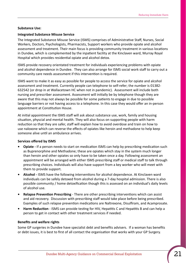#### **Substance Use:**

#### **Integrated Substance Misuse Service**

The Integrated Substance Misuse Service (ISMS) comprises of Administrative Staff, Nurses, Social Workers, Doctors, Psychologists, Pharmacists, Support workers who provide opiate and alcohol assessment and treatment. Their main focus is providing community treatment in various locations in Dundee, which is complemented by the inpatient facility at the Kinclaven ward, Murray Royal Hospital which provides residential opiate and alcohol detox.

ISMS provide recovery orientated treatment for individuals experiencing problems with opiate and alcohol dependence in Dundee. They can also arrange for ISMS social work staff to carry out a community care needs assessment if this intervention is required.

ISMS want to make it as easy as possible for people to access the service for opiate and alcohol assessment and treatment. Currently people can telephone to self-refer; the number is 01382- 632542 (or drop in at Wallacetown HC when not in pandemic). Assessment will include both nursing and prescriber assessment. Assessment will initially be by telephone though they are aware that this may not always be possible for some patients to engage in due to possible language barriers or not having access to a telephone. In this case they would offer an in-person appointment at Constitution House.

At initial appointment the ISMS staff will ask about substance use, work, family and housing situation, physcial and mental health. They will also focus on supporting people with harm reduction so that they are safer, staff will explain how to avoid overdose and train on how to use naloxone which can reverse the effects of opiates like heroin and methadone to help keep someone alive until an ambulance arrives.

#### **Services offered by ISMS**

- **• Opiate** If a person needs to start on medication ISMS can help by prescribing medication such as Buprenorphine and Methadone; these are opiates which stay in the system much longer than heroin and other opiates so only have to be taken once a day. Following assessment an appointment will be arranged with either ISMS prescribing staff or medical staff to talk through prescribing choices. Individuals will also have support from a key worker who will meet with them to provide support.
- **• Alcohol -** ISMS have the following interventions for alcohol dependence. At Kinclaven ward individuals can be safely detoxed from alcohol during a 7-day hospital admission. There is also possible community / home detoxification though this is assessed on an individual's daily levels of alcohol use.
- **• Relapse Prevention Prescribing** There are other prescribing interventions which can assist and aid recovery. Discussion with prescribing staff would take place before being prescribed. Examples of such relapse prevention medications are Naltrexone, Disulfiram, and Acamprosate.
- **• Harm Reduction** ISMS can provide testing for HIV, Hepatitis C and Hepatitis B and can help a person to get in contact with other treatment services if needed.

#### **Benefits and welfare rights**

Some GP surgeries in Dundee have specialist debt and benefits advisers. If a woman has benefits or debt issues, it is best to first of all contact the organisation that works with your GP Surgery.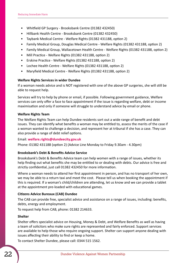- Whitfield GP Surgery Brooksbank Centre (01382 432450)
- Hillbank Health Centre Brooksbank Centre (01382 432450)
- Taybank Medical Centre Welfare Rights (01382 431188, option 2)
- Family Medical Group, Douglas Medical Centre Welfare Rights (01382 431188, option 2)
- Family Medical Group, Wallacetown Health Centre Welfare Rights (01382 431188, option 2)
- Mill Practice Welfare Rights (01382 431188, option 2)
- Erskine Practice Welfare Rights (01382 431188, option 2)
- Lochee Health Centre Welfare Rights (01382 431188, option 2)
- Maryfield Medical Centre Welfare Rights (01382 431188, option 2)

#### **Welfare Rights Services in wider Dundee**

If a woman needs advice and is NOT registered with one of the above GP surgeries, she will still be able to request help.

Services will try to help by phone or email, if possible. Following government guidance, Welfare services can only offer a face to face appointment if the issue is regarding welfare, debt or income maximisation and only if someone will struggle to understand advice by email or phone.

#### **Welfare Rights Team**

The Welfare Rights Team can help Dundee residents sort out a wide range of benefit and debt issues. They can identify what benefits a woman may be entitled to, assess the merits of the case if a woman wanted to challenge a decision, and represent her at tribunal if she has a case. They can also provide a range of debt relief options.

#### Email: **welfare.rights@dundeecity.gov.uk**

Phone: 01382 431188 (option 2) (Advice Line Monday to Friday 9.30am - 4.30pm)

#### **Brooksbank's Debt & Benefits Advice Service**

Brooksbank's Debt & Benefits Advice team can help women with a range of issues, whether its help finding out what benefits she may be entitled to or dealing with debts. Our advice is free and strictly confidential, just call 01382 432450 for more information.

Where a woman needs to attend her first appointment in person, and has no transport of her own, we may be able to a return taxi and meet the cost. Please tell us when booking the appointment if this is required. If a woman's child/children are attending, let us know and we can provide a tablet at the appointment pre-loaded with educational games.

#### **Citizens Advice Bureaux (CAB) Dundee**

The CAB can provide free, specialist advice and assistance on a range of issues, including: benefits, debts, energy and employment.

To request help from CAB, phone: 01382 214633.

#### **Shelter**

Shelter offers specialist advice on Housing, Money & Debt, and Welfare Benefits as well as having a team of solicitors who make sure rights are represented and fairly enforced. Support services are available to help those who require ongoing support. Shelter can support anyone dealing with issues affecting their ability to find or keep a home.

To contact Shelter Dundee, please call: 0344 515 1562.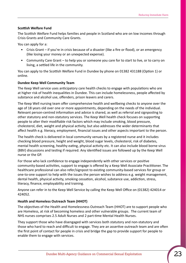#### **Scottish Welfare Fund**

The Scottish Welfare Fund helps families and people in Scotland who are on low incomes through Crisis Grants and Community Care Grants.

You can apply for a:

- Crisis Grant if you're in crisis because of a disaster (like a fire or flood), or an emergency (like losing your money or an unexpected expense).
- Community Care Grant to help you or someone you care for to start to live, or to carry on living, a settled life in the community.

You can apply to the Scottish Welfare Fund in Dundee by phone on 01382 431188 (Option 1) or online.

#### **Dundee Keep Well Community Team**

The Keep Well service uses anticipatory care health checks to engage with populations who are at higher risk of health inequalities in Dundee. This can include homelessness, people affected by substance and alcohol use, offenders, prison leavers and carers.

The Keep Well nursing team offer comprehensive health and wellbeing checks to anyone over the age of 18 years old over one or more appointments, depending on the needs of the individual. Relevant person-centred information and advice is shared, as well as referral and signposting to other statutory and non-statutory services. The Keep Well health check focuses on supporting people to alter their modifiable risk factors which may include smoking, blood pressure, cholesterol, diet, weight and physical activity, but also addresses the wider determinants that affect health e.g. literacy, employment, financial issues and other aspects important to the person.

The health check is delivered in local community venues by a registered nurse and it includes checking blood pressure, height and weight, blood sugar levels, cholesterol, risk of diabetes, mental health screening, healthy eating, physical activity etc. It can also include blood borne virus (BBV) discussions and testing if required. Any identified issues are followed up by the Keep Well nurse or the GP.

For those who lack confidence to engage independently with other services or positive community-based activities, support to engage is offered by a Keep Well Associate Practitioner. The healthcare professional can also refer/signpost to existing community-based services for group or one-to-one support to help with the issues the person wishes to address e.g. weight management, dental health, physical activity, smoking cessation, alcohol, substance use, addiction, stress, literacy, finance, employability and training.

Anyone can refer in to the Keep Well Service by calling the Keep Well Office on (01382) 424014 or 424052.

#### **Health and Homeless Outreach Team (HHOT)**

The objectives of the Health and Homelessness Outreach Team (HHOT) are to support people who are Homeless, at risk of becoming homeless and other vulnerable groups. The current team of NHS nurses comprises 2.5 Adult Nurses and 2 part-time Mental Health Nurses.

They support those who have disengaged with services both statutory and non-statutory and those who hard to reach and difficult to engage. They are an assertive outreach team and are often the first point of contact for people in crisis and bridge the gap to provide support for people to enable them to engage with services.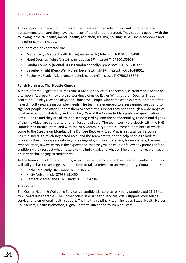They support people with multiple complex needs and provide holistic and comprehensive assessments to ensure they have the needs of the client understood. They support people with the following: physical health, mental health, addiction, trauma, housing issues, socio-economic and any other complex needs.

The Team can be contacted on:

- Maria Barty (Mental Health Nurse) maria.barty@nhs.scot T- 07815558488
- Hazel Douglas (Adult Nurse) hazel.douglas2@nhs.scot T- 07500105928
- Sandra Connelly (Mental Nurse) sandra.connelly2@nhs.scot T-07976710327
- Beverley Knight (Keep Well Nurse) beverley.knight2@nhs.scot T-07816488913
- Rachel McReady (Adult Nurse) rachel.mcready@nhs.scot T- 07562366872

#### **Parish Nursing at The Steeple Church**

A team of three Registered Nurses runs a Drop-in service at The Steeple, currently on a Monday afternoon. At present they are also working alongside Eagles Wings at their Douglas Street centre on Tuesdays, Wednesdays and Thursdays. People who come often express, or more often have difficulty expressing complex needs. The team are equipped to assess unmet needs and to signpost people and often support them to access the support they need though a wide range of local services, both statutory and voluntary. One of the Nurses holds a post-grad qualification in Sexual Health and they are all trained in safeguarding, and the confidentiality, respect and dignity of the individual are central to thier philosophy of care. The team work very closely with the NHS Homeless Outreach Team, and with the NHS Community Dental Outreach Team both of which come to the Steeple on Mondays. The Dundee Recovery Road Map is a substantial resource. Spiritual need is a much-neglected area, and the team are trained to help people to look at problems they may express relating to feelings of guilt, worthlessness, hope-lessness, the need for reconciliation, always without the expectation that they will take up or follow any particular faith tradition – they respect what matters to the individual, and what will help them to keep on keeping on in very challenging circumstances.

As the team all work different hours, a text may be the most effective means of contact and they will call you back to arrange a suitable time to take a referral or answer a query. Contact details:

- Rachel McReady QNIS mob: 07562 366872
- Kirsty Nelson mob: 07938 191450
- Barbara MacFarlane FQNIS mob: 07999 542043

#### **The Corner**

The Corner Health & Wellbeing Service is a confidential service for young people aged 11-19 (up to 25 years if vulnerable). The Corner offers sexual health services, crisis support, counselling services and emotional health support. The multi-disciplinary team includes Sexual Health Nurses, Counsellors, Health Promotion, Digital Content Officer and Youth work staff.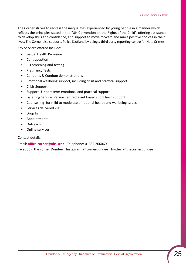The Corner strives to redress the inequalities experienced by young people in a manner which reflects the principles stated in the "UN Convention on the Rights of the Child", offering assistance to develop skills and confidence, and support to move forward and make positive choices in their lives. The Corner also supports Police Scotland by being a third party reporting centre for Hate Crimes.

Key Services offered include:

- Sexual Health Provision
- Contraception
- STI screening and testing
- Pregnancy Tests
- Condoms & Condom demonstrations
- Emotional wellbeing support, including crisis and practical support
- Crisis Support
- Support U- short term emotional and practical support
- Listening Service: Person centred asset based short term support
- Counselling- for mild to moderate emotional health and wellbeing issues
- Services delivered via:
- Drop In
- Appointments
- Outreach
- Online services

Contact details:

Email: **office.corner@nhs.scot** Telephone: 01382 206060

Facebook: the corner Dundee Instagram: @cornerdundee Twitter: @thecornerdundee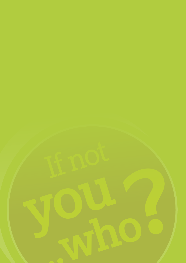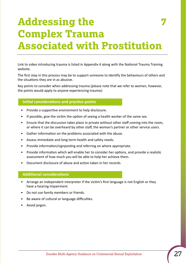# **Addressing the 7 Complex Trauma Associated with Prostitution**

Link to video introducing trauma is listed in Appendix 4 along with the National Trauma Training website.

The first step in this process may be to support someone to identify the behaviours of others and the situations they are in as abusive.

Key points to consider when addressing trauma (please note that we refer to women, however, the points would apply to anyone experiencing trauma):

#### **Initial considerations and practice points**

- Provide a supportive environment to help disclosure.
- If possible, give the victim the option of seeing a health worker of the same sex.
- Ensure that the discussion takes place in private without other staff coming into the room, or where it can be overheard by other staff, the woman's partner or other service users.
- Gather information on the problems associated with the abuse.
- Assess immediate and long-term health and safety needs.
- Provide information/signposting and referring on where appropriate.
- Provide information which will enable her to consider her options, and provide a realistic assessment of how much you will be able to help her achieve them.
- Document disclosure of abuse and action taken in her records.

#### **Additional considerations**

- Arrange an independent interpreter if the victim's first language is not English or they have a hearing impairment.
- Do not use family members or friends.
- Be aware of cultural or language difficulties.
- Avoid jargon.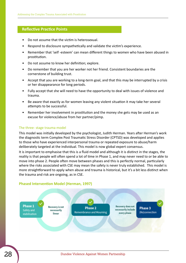#### **Reflective Practice Points**

- Do not assume that the victim is heterosexual.
- Respond to disclosure sympathetically and validate the victim's experience.
- Remember that 'self -esteem' can mean different things to women who have been abused in prostitution.
- Do not assume to know her definition; explore.
- Do remember that you are her worker not her friend. Consistent boundaries are the cornerstone of building trust.
- Accept that you are working to a long-term goal, and that this may be interrupted by a crisis or her disappearance for long periods.
- Fully accept that she will need to have the opportunity to deal with issues of violence and trauma.
- Be aware that exactly as for women leaving any violent situation it may take her several attempts to be successful.
- Remember her involvement in prostitution and the money she gets may be used as an excuse for violence/abuse from her partner/pimp.

#### The three- stage trauma model

This model was initially developed by the psychologist, Judith Herman. Years after Herman's work the diagnostic term Complex Post Traumatic Stress Disorder (CPTSD) was developed and applies to those who have experienced interpersonal trauma or repeated exposure to abuse/harm deliberately targeted at the individual. This model is now global expert consensus.

It is important to emphasise that this is a fluid model and although it is distinct in the stages, the reality is that people will often spend a lot of time in Phase 1, and may never need to or be able to move into phase 2. People often move between phases and this is perfectly normal, particularly where the risks associated with CSE may mean the safety is never truly established. This model is more straightforward to apply when abuse and trauma is historical, but it's a bit less distinct when the trauma and risk are ongoing, as in CSE.

#### **Phased Intervention Model (Herman, 1997)**

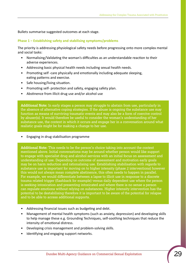Bullets summarise suggested outcomes at each stage.

#### **Phase 1 – Establishing safety and stabilising symptoms/problems**

The priority is addressing physiological safety needs before progressing onto more complex mental and social tasks:

- Normalising/Validating the woman's difficulties as an understandable reaction to their adverse experiences.
- Addressing basic physical health needs including sexual health needs.
- Promoting self -care physically and emotionally including adequate sleeping, eating patterns and exercise.
- Safe housing/living situation.
- Promoting self- protection and safety, engaging safety plan.
- Abstinence from illicit drug use and/or alcohol use

**Additional Note:** In early stages a person may struggle to abstain from use, particularly in the absence of alternative coping strategies. If the abuse is ongoing the substance use may function as means of surviving traumatic events and may also be a form of coercive control by abuser(s). It would therefore be useful to consider the woman's understanding of her substance use, the context in which it occurs and engage her in a conversation around what realistic goals might be for making a change to her use.

• Engaging in drug stabilisation programme

**Additional Note:** This needs to be the person's choice taking into account the context mentioned above. Initial conversations may be around whether person would like support to engage with specialist drug and alcohol services with an initial focus on assessment and understanding of use. Depending on outcome of assessment and motivation early goals may be on harm reduction and rationalising use. Establishing stabilisation with regards to substance use is important for moving on to higher intensity (phase 2 interventions) however this would not always mean complete abstinence, this often needs to happen in parallel. For example, we would differentiate between a lapse to illicit use in response to a discrete trauma related trigger (flashback for example) versus daily dependent use where the person is seeking intoxication and presenting intoxicated and where there is no sense a person can regulate emotions without relying on substances. Higher intensity intervention has the potential to be destabilising therefore it is important to be aware of the potential for relapse and to be able to access additional supports.

- Addressing financial issues such as budgeting and debt.
- Management of mental health symptoms (such as anxiety, depression) and developing skills to help manage these e.g. Grounding Techniques, self-soothing techniques that reduce the intensity of emotional distress.
- Developing crisis management and problem-solving skills.
- Identifying and engaging support networks.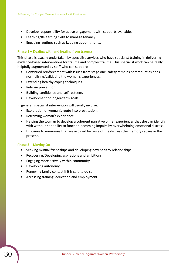- Develop responsibility for active engagement with supports available.
- Learning/Relearning skills to manage tenancy.
- Engaging routines such as keeping appointments.

#### **Phase 2 – Dealing with and healing from trauma**

This phase is usually undertaken by specialist services who have specialist training in delivering evidence-based interventions for trauma and complex trauma. This specialist work can be really helpfully augmented by staff who can support:

- Continued reinforcement with issues from stage one, safety remains paramount as does normalising/validating the woman's experiences.
- Extending healthy coping techniques.
- Relapse prevention.
- Building confidence and self -esteem.
- Development of longer-term goals.

In general, specialist intervention will usually involve:

- Exploration of woman's route into prostitution.
- Reframing woman's experience.
- Helping the woman to develop a coherent narrative of her experiences that she can identify with without her ability to function becoming impairs by overwhelming emotional distress.
- Exposure to memories that are avoided because of the distress the memory causes in the present.

#### **Phase 3 – Moving On**

- Seeking mutual friendships and developing new healthy relationships.
- Recovering/Developing aspirations and ambitions.
- Engaging more actively within community.
- Developing autonomy.
- Renewing family contact if it is safe to do so.
- Accessing training, education and employment.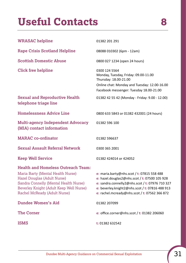# **Useful Contacts 8**

| <b>WRASAC</b> helpline                                                                                                                                                                                                            | 01382 201 291                                                                                                                                                                                                                                      |
|-----------------------------------------------------------------------------------------------------------------------------------------------------------------------------------------------------------------------------------|----------------------------------------------------------------------------------------------------------------------------------------------------------------------------------------------------------------------------------------------------|
| <b>Rape Crisis Scotland Helpline</b>                                                                                                                                                                                              | 08088 010302 (6pm - 12am)                                                                                                                                                                                                                          |
| <b>Scottish Domestic Abuse</b>                                                                                                                                                                                                    | 0800 027 1234 (open 24 hours)                                                                                                                                                                                                                      |
| <b>Click free helpline</b>                                                                                                                                                                                                        | 0300 124 5564<br>Monday, Tuesday, Friday: 09.00-11.00<br>Thursday: 18.00-21.00<br>Online chat: Monday and Tuesday: 12.00-16.00<br>Facebook messenger: Tuesday 18.00-21.00                                                                          |
| <b>Sexual and Reproductive Health</b><br>telephone triage line                                                                                                                                                                    | 01382 42 55 42 (Monday - Friday: 9.00 - 12.00)                                                                                                                                                                                                     |
| <b>Homelessness Advice Line</b>                                                                                                                                                                                                   | 0800 633 5843 or 01382 432001 (24 hours)                                                                                                                                                                                                           |
| <b>Multi-agency Independent Advocacy</b><br>(MIA) contact information                                                                                                                                                             | 01382 596 100                                                                                                                                                                                                                                      |
| <b>MARAC</b> co-ordinator                                                                                                                                                                                                         | 01382 596637                                                                                                                                                                                                                                       |
| <b>Sexual Assault Referral Network</b>                                                                                                                                                                                            | 0300 365 2001                                                                                                                                                                                                                                      |
| <b>Keep Well Service</b>                                                                                                                                                                                                          | 01382 424014 or 424052                                                                                                                                                                                                                             |
| <b>Health and Homeless Outreach Team:</b><br>Maria Barty (Mental Health Nurse)<br>Hazel Douglas (Adult Nurse)<br>Sandra Connelly (Mental Health Nurse)<br>Beverley Knight (Adult Keep Well Nurse)<br>Rachel McReady (Adult Nurse) | e: maria.barty@nhs.scot / t: 07815 558 488<br>e: hazel.douglas2@nhs.scot / t: 07500 105 928<br>e: sandra.connelly2@nhs.scot / t: 07976 710 327<br>e: beverley.knight2@nhs.scot / t: 07816 488 913<br>e: rachel.mcready@nhs.scot / t: 07562 366 872 |
| <b>Dundee Women's Aid</b>                                                                                                                                                                                                         | 01382 207099                                                                                                                                                                                                                                       |
| <b>The Corner</b>                                                                                                                                                                                                                 | e: office.corner@nhs.scot / t: 01382 206060                                                                                                                                                                                                        |
| <b>ISMS</b>                                                                                                                                                                                                                       | t: 01382 632542                                                                                                                                                                                                                                    |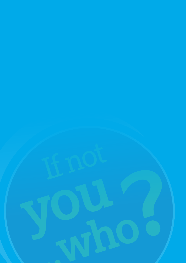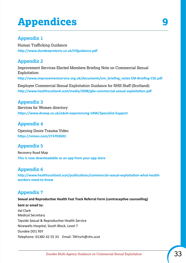# **Appendices 9**

# **Appendix 1**

Human Trafficking Guidance **http://www.dundeeprotects.co.uk/HTguidance.pdf**

# **Appendix 2**

Improvement Services Elected Members Briefing Note on Commercial Sexual Exploitation: **http://www.improvementservice.org.uk/documents/em\_briefing\_notes EM-Briefing-CSE.pdf** Employee Commercial Sexual Exploitation Guidance for NHS Staff (Scotland):

**http://www.healthscotland.scot/media/2098/gbv-commercial-sexual exploitation.pdf**

# **Appendix 3**

Services for Women directory **https://www.dvawp.co.uk/adult-experiencing-VAW/Specialist-Support**

# **Appendix 4**

Opening Doors Trauma Video **https://vimeo.com/274703693**

# **Appendix 5**

Recovery Road Map **This is now downloadable as an app from your app store**

# **Appendix 6**

**http://www.healthscotland.scot/publications/commercial-sexual-exploitation-what-healthworkers-need-to-know**

# **Appendix 7**

**Sexual and Reproductive Health Fast Track Referral Form (contraceptive counselling)** 

**Sent or email to:**  Val Clark Medical Secretary Tayside Sexual & Reproductive Health Service Ninewells Hospital, South Block, Level 7 Dundee DD1 9SY **Appendix 6**<br>
http://www.healthscotland.scot/publications/comm<br>
workers-need-to-know<br> **Appendix 7**<br> **Sexual and Reproductive Health Fast Track Referral Form or email to:**<br>
Val Clark<br>
Medical Secretary<br>
Tayside Sexual & Rep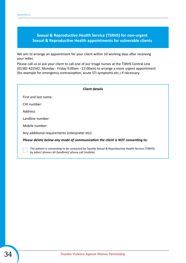#### **Sexual & Reproductive Health Service (TSRHS) for non-urgent Sexual & Reproductive Health appointments for vulnerable clients**

We aim to arrange an appointment for your client within 10 working days after receiving your letter.

Please call us or ask your client to call one of our triage nurses at the TSRHS Central Line (01382 425542; Monday - Friday 9:00am - 12:00am) to arrange a more urgent appointment (for example for emergency contraception, acute STI symptoms etc.) if necessary.

| <b>Client details</b>                                                                                                                                       |  |  |
|-------------------------------------------------------------------------------------------------------------------------------------------------------------|--|--|
| First and last name:                                                                                                                                        |  |  |
| CHI number:                                                                                                                                                 |  |  |
| Address:                                                                                                                                                    |  |  |
| Landline number:                                                                                                                                            |  |  |
| Mobile number:                                                                                                                                              |  |  |
| Any additional requirements (interpreter etc):                                                                                                              |  |  |
| Please delete below any mode of communication the client is NOT consenting to:                                                                              |  |  |
| The patient is consenting to be contacted by Tayside Sexual & Reproductive Health Service (TSRHS)<br>by letter/ phone call (landline)/ phone call (mobile). |  |  |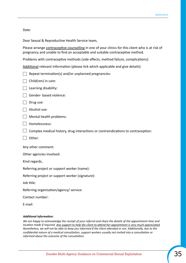Date:

Dear Sexual & Reproductive Health Service team,

Please arrange contraceptive counselling in one of your clinics for this client who is at risk of pregnancy and unable to find an acceptable and suitable contraceptive method.

Problems with contraceptive methods (side effects, method failure, complications):

Additional relevant information (please tick which applicable and give details):

 $\Box$  Repeat termination(s) and/or unplanned pregnancies:

| $\Box$ Child(ren) in care: |  |
|----------------------------|--|
|----------------------------|--|

 $\Box$  Learning disability:

 $\Box$  Gender- based violence:

- $\Box$  Drug use:
- $\Box$  Alcohol use:
- $\Box$  Mental health problems:
- | Homelessness:
- $\Box$  Complex medical history, drug interactions or contraindications to contraception:
- $\Box$  Other:
- Any other comment:

Other agencies involved:

Kind regards,

Referring project or support worker (name):

Referring project or support worker (signature):

Job title:

Referring organisation/agency/ service:

Contact number:

E-mail:

#### *Additional information:*

*We are happy to acknowledge the receipt of your referral and share the details of the appointment time and location made if required. Any support to help the client to attend her appointment is very much appreciated. Nonetheless, we will not be able to keep you informed if the client attended or not. Additionally, due to the confidential nature of a medical consultation, support workers usually not invited into a consultation or informed about the outcome of the consultation.*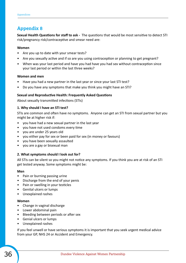# **Appendix 8**

**Sexual Health Questions for staff to ask -** The questions that would be most sensitive to detect STI risk/pregnancy risk/contraceptive and smear need are:

#### **Women**

- Are you up to date with your smear tests?
- Are you sexually active and if so are you using contraception or planning to get pregnant?
- When was your last period and have you had have you had sex without contraception since your last period or within the last three weeks?

#### **Women and men**

- Have you had a new partner in the last year or since your last STI test?
- Do you have any symptoms that make you think you might have an STI?

#### **Sexual and Reproductive Health: Frequently Asked Questions**

About sexually transmitted infections (STIs)

#### **1. Why should I have an STI test?**

STIs are common and often have no symptoms. Anyone can get an STI from sexual partner but you might be at higher risk if:

- you have had a new sexual partner in the last year
- you have not used condoms every time
- you are under 25 years old
- you either pay for sex or been paid for sex (in money or favours)
- you have been sexually assaulted
- you are a gay or bisexual man

#### **2. What symptoms should I look out for?**

All STIs can be silent so you might not notice any symptoms. If you think you are at risk of an STI get tested anyway. Some symptoms might be:

#### **Men**

- Pain or burning passing urine
- Discharge from the end of your penis
- Pain or swelling in your testicles
- Genital ulcers or lumps
- Unexplained rashes

#### **Women**

- Change in vaginal discharge
- Lower abdominal pain
- Bleeding between periods or after sex
- Genial ulcers or lumps
- Unexplained rashes

If you feel unwell or have serious symptoms it is important that you seek urgent medical advice from your GP, NHS 24 or Accident and Emergency.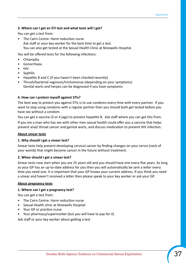#### **3. Where can I get an STI test and what tests will I get?**

You can get a test from:

• The Cairn Centre: Harm reduction nurse Ask staff or your key worker for the best time to get a test. You can also get tested at the Sexual Health Clinic at Ninewells Hospital.

You will be offered tests for the following infections:

- Chlamydia
- Gonorrhoea
- HIV
- Syphilis
- Hepatitis B and C (if you haven't been checked recently)
- Thrush/bacterial vaginosis/trichomonas (depending on your symptoms) Genital warts and herpes can be diagnosed if you have symptoms

#### **4. How can I protect myself against STIs?**

The best way to protect you against STIs is to use condoms every time with every partner. If you want to stop using condoms with a regular partner then you should both get tested before you have sex without a condom.

You can get a vaccine (3 or 4 jags) to prevent hepatitis B. Ask staff where you can get this from. If you are a man who has sex with other men sexual health could offer you a vaccine that helps prevent anal/ throat cancer and genital warts, and discuss medication to prevent HIV infection.

#### **About smear tests**

#### **1. Why should I get a smear test?**

Smear tests help prevent developing cervical cancer by finding changes on your cervix (neck of your womb) that might become cancer in the future without treatment.

#### **2. When should I get a smear test?**

Smear tests now start when you are 25 years old and you should have one every five years. As long as your GP has an up-to-date address for you then you will automatically be sent a letter every time you need one. It is important that your GP knows your current address. If you think you need a smear and haven't received a letter then please speak to your key worker or ask your GP.

#### **About pregnancy tests**

#### **1. Where can I get a pregnancy test?**

You can get a test from:

- The Cairn Centre: Harm reduction nurse
- Sexual Health clinic at Ninewells Hospital
- Your GP or practice nurse
- Your pharmacy/supermarket (but you will have to pay for it)

Ask staff or your key worker about getting a test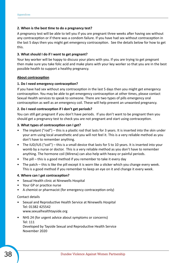#### **2. When is the best time to do a pregnancy test?**

A pregnancy test will be able to tell you if you are pregnant three weeks after having sex without any contraception or if there was a condom failure. If you have had sex without contraception in the last 5 days then you might get emergency contraception. See the details below for how to get this.

#### **3. What should I do if I want to get pregnant?**

Your key worker will be happy to discuss your plans with you. If you are trying to get pregnant then make sure you take folic acid and make plans with your key worker so that you are in the best possible health to support a healthy pregnancy.

#### **About contraception**

#### **1. Do I need emergency contraception?**

If you have had sex without any contraception in the last 5 days then you might get emergency contraception. You may be able to get emergency contraception at other times, please contact Sexual Health services to speak to someone. There are two types of pills emergency oral contraception as well as an emergency coil. These will help prevent an unwanted pregnancy.

#### **2. Do I need contraception if I don't get periods?**

You can still get pregnant if you don't have periods. If you don't want to be pregnant then you should get a pregnancy test to check you are not pregnant and start using contraception.

#### **3. What types of contraception can I get?**

- The implant ("rod") this is a plastic rod that lasts for 3 years. It is inserted into the skin under your arm using local anaesthetic and you will not feel it. This is a very reliable method as you don't have to remember anything.
- The IUD/IUS ("coil") this is a small device that lasts for 5 to 10 years. It is inserted into your womb by a nurse or doctor. This is a very reliable method as you don't have to remember anything. The hormone coil (Mirena) can also help with heavy or painful periods.
- The pill this is a good method if you remember to take it every day
- The patch this is like the pill except it is worn like a sticker which you change every week. This is a good method if you remember to keep an eye on it and change it every week.

#### **4. Where can I get contraception?**

- Sexual Health clinic at Ninewells Hospital
- Your GP or practice nurse
- A chemist or pharmacist (for emergency contraception only)

#### Contact details

- Sexual and Reproductive Health Service at Ninewells Hospital Tel: 01382 425542 www.sexualhealthtayside.org
- NHS 24 (for urgent advice about symptoms or concerns) Tel: 111 Developed by Tayside Sexual and Reproductive Health Service

November 2020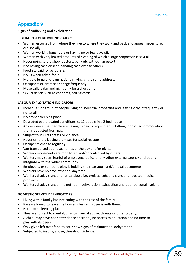# **Appendix 9**

#### **Signs of trafficking and exploitation**

#### **SEXUAL EXPLOITATION INDICATORS**

- Women escorted from where they live to where they work and back and appear never to go out socially.
- Women working long hours or having no or few days off.
- Women with very limited amounts of clothing of which a large proportion is sexual
- Never going to the shop, doctors, bank etc without an escort.
- Not having cash or seen handing cash over to others.
- Food etc paid for by others.
- No ID when asked for it
- Multiple female foreign nationals living at the same address.
- Occupants or premises change frequently
- Make callers day and night only for a short time
- Sexual debris such as condoms, calling cards

#### **LABOUR EXPLOITATION INDICATORS**

- Individuals or group of people living on industrial properties and leaving only infrequently or not at all
- No proper sleeping place
- Degraded overcrowded conditions ie, 12 people in a 2 bed house
- Any evidence that people are having to pay for equipment, clothing food or accommodation that is deducted from pay.
- Subject to insults threats or violence
- Never or rarely leaving premises for social reasons
- Occupents change regularly.
- Van transported at unusual times of the day and/or night.
- Workers movements are monitored and/or controlled by others.
- Workers may seem fearful of employers, police or any other external agency and poorly integrate with the wider community.
- Employers, or someone else, is holding their passport and/or legal documents.
- Workers have no days off or holiday time.
- Workers display signs of physical abuse i.e. bruises, cuts and signs of untreated medical problems.
- Workers display signs of malnutrition, dehydration, exhaustion and poor personal hygiene

#### **DOMESTIC SERVITUDE INDICATORS**

- Living with a family but not eating with the rest of the family
- Rarely allowed to leave the house unless employer is with them.
- No proper sleeping place
- They are subject to mental, physical, sexual abuse, threats or other cruelty.
- A child, may have poor attendance at school, no access to education and no time to play with its peers
- Only given left over food to eat, show signs of malnutrition, dehydration
- Subjected to insults, abuse, threats or violence.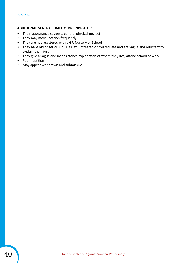#### **ADDITIONAL GENERAL TRAFFICKING INDICATORS**

- Their appearance suggests general physical neglect
- They may move location frequently
- They are not registered with a GP, Nursery or School
- They have old or serious injuries left untreated or treated late and are vague and reluctant to explain the injury
- They give a vague and inconsistence explanation of where they live, attend school or work
- Poor nutrition
- May appear withdrawn and submissive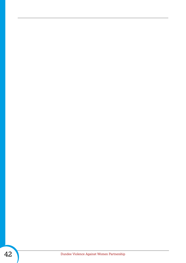Dundee Violence Against Women Partnership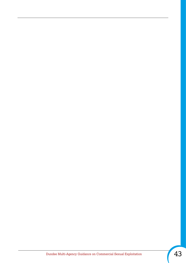Dundee Multi-Agency Guidance on Commercial Sexual Exploitation 43